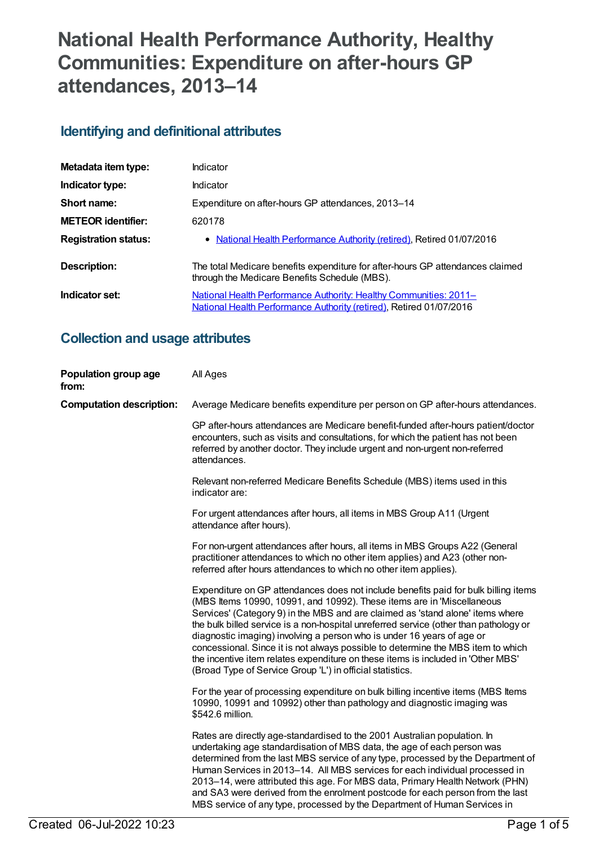# **National Health Performance Authority, Healthy Communities: Expenditure on after-hours GP attendances, 2013–14**

## **Identifying and definitional attributes**

| Metadata item type:         | Indicator                                                                                                                                |
|-----------------------------|------------------------------------------------------------------------------------------------------------------------------------------|
| Indicator type:             | Indicator                                                                                                                                |
| Short name:                 | Expenditure on after-hours GP attendances, 2013-14                                                                                       |
| <b>METEOR</b> identifier:   | 620178                                                                                                                                   |
| <b>Registration status:</b> | • National Health Performance Authority (retired), Retired 01/07/2016                                                                    |
| Description:                | The total Medicare benefits expenditure for after-hours GP attendances claimed<br>through the Medicare Benefits Schedule (MBS).          |
| Indicator set:              | National Health Performance Authority: Healthy Communities: 2011-<br>National Health Performance Authority (retired), Retired 01/07/2016 |

## **Collection and usage attributes**

| Population group age<br>from:   | All Ages                                                                                                                                                                                                                                                                                                                                                                                                                                                                                                                                                                                                                                                |
|---------------------------------|---------------------------------------------------------------------------------------------------------------------------------------------------------------------------------------------------------------------------------------------------------------------------------------------------------------------------------------------------------------------------------------------------------------------------------------------------------------------------------------------------------------------------------------------------------------------------------------------------------------------------------------------------------|
| <b>Computation description:</b> | Average Medicare benefits expenditure per person on GP after-hours attendances.                                                                                                                                                                                                                                                                                                                                                                                                                                                                                                                                                                         |
|                                 | GP after-hours attendances are Medicare benefit-funded after-hours patient/doctor<br>encounters, such as visits and consultations, for which the patient has not been<br>referred by another doctor. They include urgent and non-urgent non-referred<br>attendances.                                                                                                                                                                                                                                                                                                                                                                                    |
|                                 | Relevant non-referred Medicare Benefits Schedule (MBS) items used in this<br>indicator are:                                                                                                                                                                                                                                                                                                                                                                                                                                                                                                                                                             |
|                                 | For urgent attendances after hours, all items in MBS Group A11 (Urgent<br>attendance after hours).                                                                                                                                                                                                                                                                                                                                                                                                                                                                                                                                                      |
|                                 | For non-urgent attendances after hours, all items in MBS Groups A22 (General<br>practitioner attendances to which no other item applies) and A23 (other non-<br>referred after hours attendances to which no other item applies).                                                                                                                                                                                                                                                                                                                                                                                                                       |
|                                 | Expenditure on GP attendances does not include benefits paid for bulk billing items<br>(MBS Items 10990, 10991, and 10992). These items are in 'Miscellaneous<br>Services' (Category 9) in the MBS and are claimed as 'stand alone' items where<br>the bulk billed service is a non-hospital unreferred service (other than pathology or<br>diagnostic imaging) involving a person who is under 16 years of age or<br>concessional. Since it is not always possible to determine the MBS item to which<br>the incentive item relates expenditure on these items is included in 'Other MBS'<br>(Broad Type of Service Group 'L') in official statistics. |
|                                 | For the year of processing expenditure on bulk billing incentive items (MBS Items<br>10990, 10991 and 10992) other than pathology and diagnostic imaging was<br>\$542.6 million.                                                                                                                                                                                                                                                                                                                                                                                                                                                                        |
|                                 | Rates are directly age-standardised to the 2001 Australian population. In<br>undertaking age standardisation of MBS data, the age of each person was<br>determined from the last MBS service of any type, processed by the Department of<br>Human Services in 2013–14. All MBS services for each individual processed in<br>2013-14, were attributed this age. For MBS data, Primary Health Network (PHN)<br>and SA3 were derived from the enrolment postcode for each person from the last<br>MBS service of any type, processed by the Department of Human Services in                                                                                |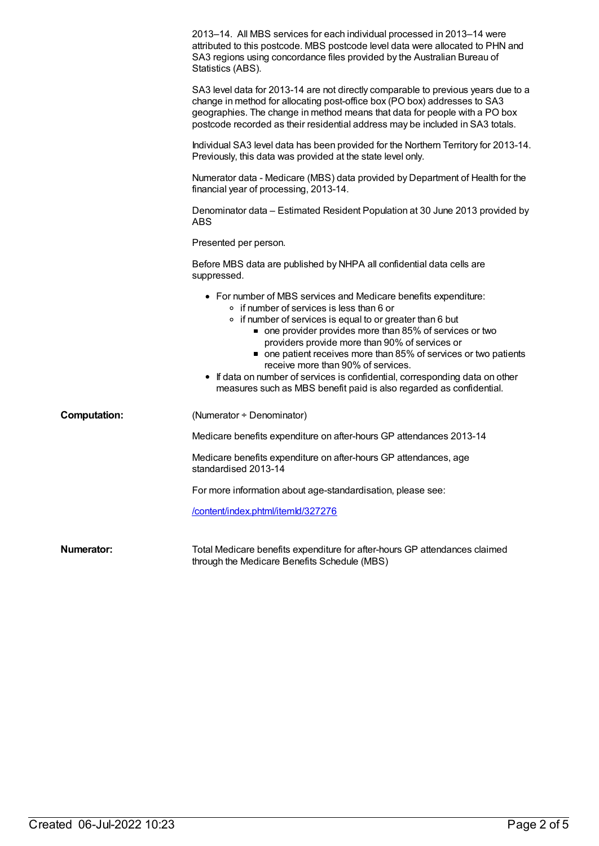|                     | 2013–14. All MBS services for each individual processed in 2013–14 were<br>attributed to this postcode. MBS postcode level data were allocated to PHN and<br>SA3 regions using concordance files provided by the Australian Bureau of<br>Statistics (ABS).                                                                                                                                                                                                                                                                                           |
|---------------------|------------------------------------------------------------------------------------------------------------------------------------------------------------------------------------------------------------------------------------------------------------------------------------------------------------------------------------------------------------------------------------------------------------------------------------------------------------------------------------------------------------------------------------------------------|
|                     | SA3 level data for 2013-14 are not directly comparable to previous years due to a<br>change in method for allocating post-office box (PO box) addresses to SA3<br>geographies. The change in method means that data for people with a PO box<br>postcode recorded as their residential address may be included in SA3 totals.                                                                                                                                                                                                                        |
|                     | Individual SA3 level data has been provided for the Northern Territory for 2013-14.<br>Previously, this data was provided at the state level only.                                                                                                                                                                                                                                                                                                                                                                                                   |
|                     | Numerator data - Medicare (MBS) data provided by Department of Health for the<br>financial year of processing, 2013-14.                                                                                                                                                                                                                                                                                                                                                                                                                              |
|                     | Denominator data – Estimated Resident Population at 30 June 2013 provided by<br><b>ABS</b>                                                                                                                                                                                                                                                                                                                                                                                                                                                           |
|                     | Presented per person.                                                                                                                                                                                                                                                                                                                                                                                                                                                                                                                                |
|                     | Before MBS data are published by NHPA all confidential data cells are<br>suppressed.                                                                                                                                                                                                                                                                                                                                                                                                                                                                 |
|                     | • For number of MBS services and Medicare benefits expenditure:<br>○ if number of services is less than 6 or<br>• if number of services is equal to or greater than 6 but<br>one provider provides more than 85% of services or two<br>providers provide more than 90% of services or<br>one patient receives more than 85% of services or two patients<br>receive more than 90% of services.<br>• If data on number of services is confidential, corresponding data on other<br>measures such as MBS benefit paid is also regarded as confidential. |
| <b>Computation:</b> | (Numerator + Denominator)                                                                                                                                                                                                                                                                                                                                                                                                                                                                                                                            |
|                     | Medicare benefits expenditure on after-hours GP attendances 2013-14                                                                                                                                                                                                                                                                                                                                                                                                                                                                                  |
|                     | Medicare benefits expenditure on after-hours GP attendances, age<br>standardised 2013-14                                                                                                                                                                                                                                                                                                                                                                                                                                                             |
|                     | For more information about age-standardisation, please see:                                                                                                                                                                                                                                                                                                                                                                                                                                                                                          |
|                     | /content/index.phtml/itemld/327276                                                                                                                                                                                                                                                                                                                                                                                                                                                                                                                   |
| <b>Numerator:</b>   | Total Medicare benefits expenditure for after-hours GP attendances claimed<br>through the Medicare Benefits Schedule (MBS)                                                                                                                                                                                                                                                                                                                                                                                                                           |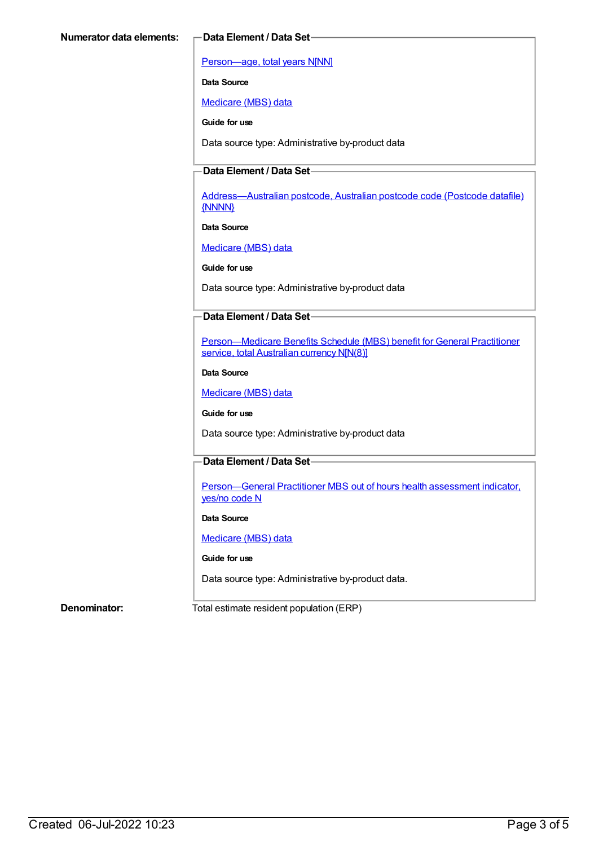[Person—age,](https://meteor.aihw.gov.au/content/303794) total years N[NN]

**Data Source**

[Medicare](https://meteor.aihw.gov.au/content/394305) (MBS) data

**Guide for use**

Data source type: Administrative by-product data

### **Data Element / Data Set**

[Address—Australian](https://meteor.aihw.gov.au/content/429894) postcode, Australian postcode code (Postcode datafile) {NNNN}

**Data Source**

[Medicare](https://meteor.aihw.gov.au/content/394305) (MBS) data

**Guide for use**

Data source type: Administrative by-product data

#### **Data Element / Data Set**

[Person—Medicare](https://meteor.aihw.gov.au/content/556532) Benefits Schedule (MBS) benefit for General Practitioner service, total Australian currency N[N(8)]

**Data Source**

[Medicare](https://meteor.aihw.gov.au/content/394305) (MBS) data

**Guide for use**

Data source type: Administrative by-product data

### **Data Element / Data Set**

[Person—General](https://meteor.aihw.gov.au/content/556549) Practitioner MBS out of hours health assessment indicator, yes/no code N

**Data Source**

[Medicare](https://meteor.aihw.gov.au/content/394305) (MBS) data

#### **Guide for use**

Data source type: Administrative by-product data.

**Denominator:** Total estimate resident population (ERP)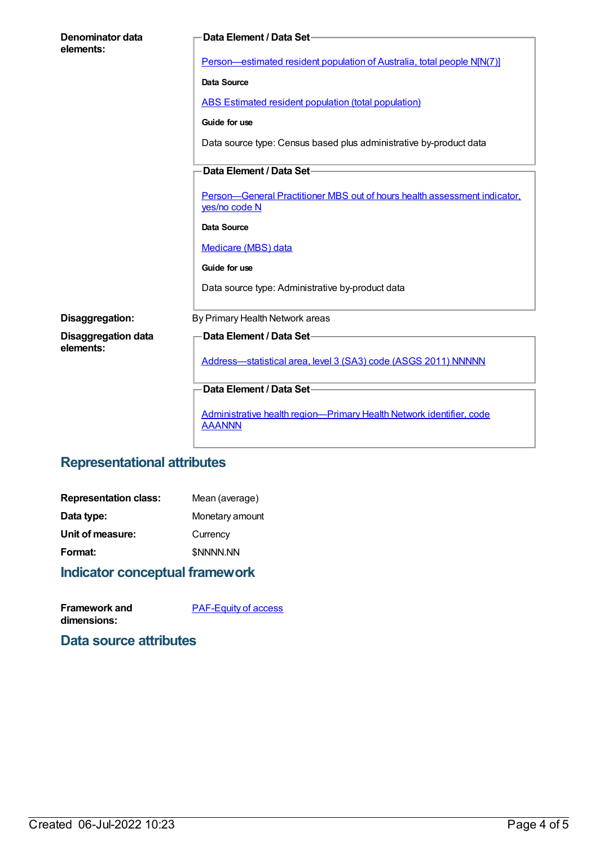| <b>Denominator data</b><br>elements:    | Data Element / Data Set-                                                                   |
|-----------------------------------------|--------------------------------------------------------------------------------------------|
|                                         | Person-estimated resident population of Australia, total people N[N(7)]                    |
|                                         | Data Source                                                                                |
|                                         | <b>ABS Estimated resident population (total population)</b>                                |
|                                         | Guide for use                                                                              |
|                                         | Data source type: Census based plus administrative by-product data                         |
|                                         | Data Element / Data Set-                                                                   |
|                                         | Person-General Practitioner MBS out of hours health assessment indicator,<br>yes/no code N |
|                                         | Data Source                                                                                |
|                                         | Medicare (MBS) data                                                                        |
|                                         | Guide for use                                                                              |
|                                         | Data source type: Administrative by-product data                                           |
| Disaggregation:                         | By Primary Health Network areas                                                            |
| <b>Disaggregation data</b><br>elements: | Data Element / Data Set-                                                                   |
|                                         | Address-statistical area, level 3 (SA3) code (ASGS 2011) NNNNN                             |
|                                         | Data Element / Data Set-                                                                   |
|                                         | Administrative health region-Primary Health Network identifier, code<br><b>AAANNN</b>      |
|                                         |                                                                                            |

## **Representational attributes**

| <b>Indicator conceptual framework</b> |                  |
|---------------------------------------|------------------|
| Format:                               | <b>\$NNNN.NN</b> |
| Unit of measure:                      | Currency         |
| Data type:                            | Monetary amount  |
| <b>Representation class:</b>          | Mean (average)   |

| <b>Framework and</b> | <b>PAF-Equity of access</b> |
|----------------------|-----------------------------|
| dimensions:          |                             |

**Data source attributes**